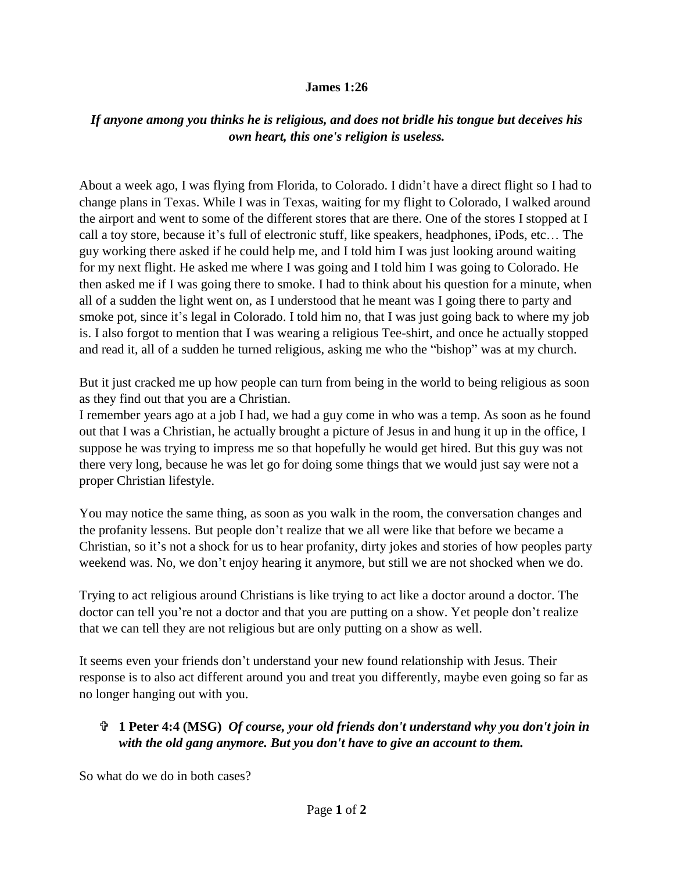## **James 1:26**

## *If anyone among you thinks he is religious, and does not bridle his tongue but deceives his own heart, this one's religion is useless.*

About a week ago, I was flying from Florida, to Colorado. I didn't have a direct flight so I had to change plans in Texas. While I was in Texas, waiting for my flight to Colorado, I walked around the airport and went to some of the different stores that are there. One of the stores I stopped at I call a toy store, because it's full of electronic stuff, like speakers, headphones, iPods, etc… The guy working there asked if he could help me, and I told him I was just looking around waiting for my next flight. He asked me where I was going and I told him I was going to Colorado. He then asked me if I was going there to smoke. I had to think about his question for a minute, when all of a sudden the light went on, as I understood that he meant was I going there to party and smoke pot, since it's legal in Colorado. I told him no, that I was just going back to where my job is. I also forgot to mention that I was wearing a religious Tee-shirt, and once he actually stopped and read it, all of a sudden he turned religious, asking me who the "bishop" was at my church.

But it just cracked me up how people can turn from being in the world to being religious as soon as they find out that you are a Christian.

I remember years ago at a job I had, we had a guy come in who was a temp. As soon as he found out that I was a Christian, he actually brought a picture of Jesus in and hung it up in the office, I suppose he was trying to impress me so that hopefully he would get hired. But this guy was not there very long, because he was let go for doing some things that we would just say were not a proper Christian lifestyle.

You may notice the same thing, as soon as you walk in the room, the conversation changes and the profanity lessens. But people don't realize that we all were like that before we became a Christian, so it's not a shock for us to hear profanity, dirty jokes and stories of how peoples party weekend was. No, we don't enjoy hearing it anymore, but still we are not shocked when we do.

Trying to act religious around Christians is like trying to act like a doctor around a doctor. The doctor can tell you're not a doctor and that you are putting on a show. Yet people don't realize that we can tell they are not religious but are only putting on a show as well.

It seems even your friends don't understand your new found relationship with Jesus. Their response is to also act different around you and treat you differently, maybe even going so far as no longer hanging out with you.

## **1 Peter 4:4 (MSG)** *Of course, your old friends don't understand why you don't join in with the old gang anymore. But you don't have to give an account to them.*

So what do we do in both cases?